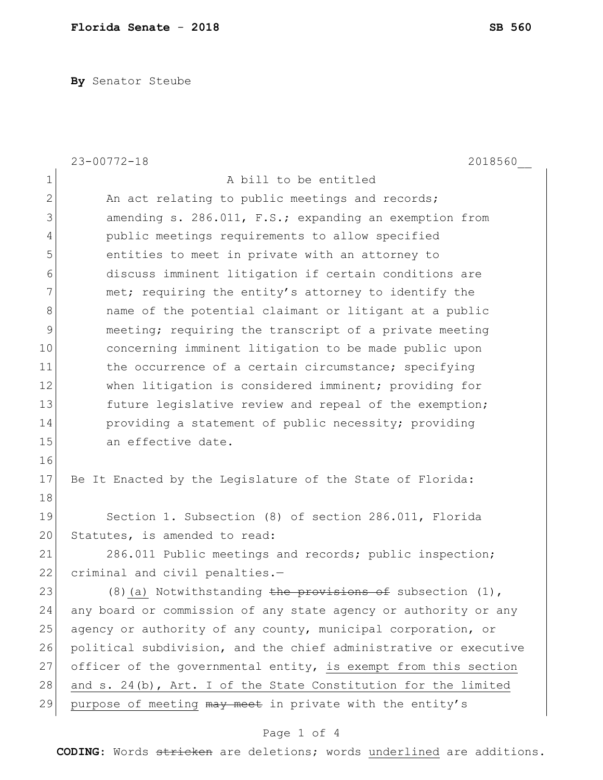**By** Senator Steube

|                | $23 - 00772 - 18$<br>2018560                                      |
|----------------|-------------------------------------------------------------------|
| $\mathbf 1$    | A bill to be entitled                                             |
| $\mathbf 2$    | An act relating to public meetings and records;                   |
| 3              | amending s. 286.011, F.S.; expanding an exemption from            |
| $\overline{4}$ | public meetings requirements to allow specified                   |
| 5              | entities to meet in private with an attorney to                   |
| 6              | discuss imminent litigation if certain conditions are             |
| 7              | met; requiring the entity's attorney to identify the              |
| $\,8\,$        | name of the potential claimant or litigant at a public            |
| $\mathcal{G}$  | meeting; requiring the transcript of a private meeting            |
| 10             | concerning imminent litigation to be made public upon             |
| 11             | the occurrence of a certain circumstance; specifying              |
| 12             | when litigation is considered imminent; providing for             |
| 13             | future legislative review and repeal of the exemption;            |
| 14             | providing a statement of public necessity; providing              |
| 15             | an effective date.                                                |
| 16             |                                                                   |
| 17             | Be It Enacted by the Legislature of the State of Florida:         |
| 18             |                                                                   |
| 19             | Section 1. Subsection (8) of section 286.011, Florida             |
| 20             | Statutes, is amended to read:                                     |
| 21             | 286.011 Public meetings and records; public inspection;           |
| 22             | criminal and civil penalties.-                                    |
| 23             | (8) (a) Notwithstanding the provisions of subsection (1),         |
| 24             | any board or commission of any state agency or authority or any   |
| 25             | agency or authority of any county, municipal corporation, or      |
| 26             | political subdivision, and the chief administrative or executive  |
| 27             | officer of the governmental entity, is exempt from this section   |
| 28             | and $s. 24(b)$ , Art. I of the State Constitution for the limited |
| 29             | purpose of meeting may meet in private with the entity's          |

## Page 1 of 4

**CODING**: Words stricken are deletions; words underlined are additions.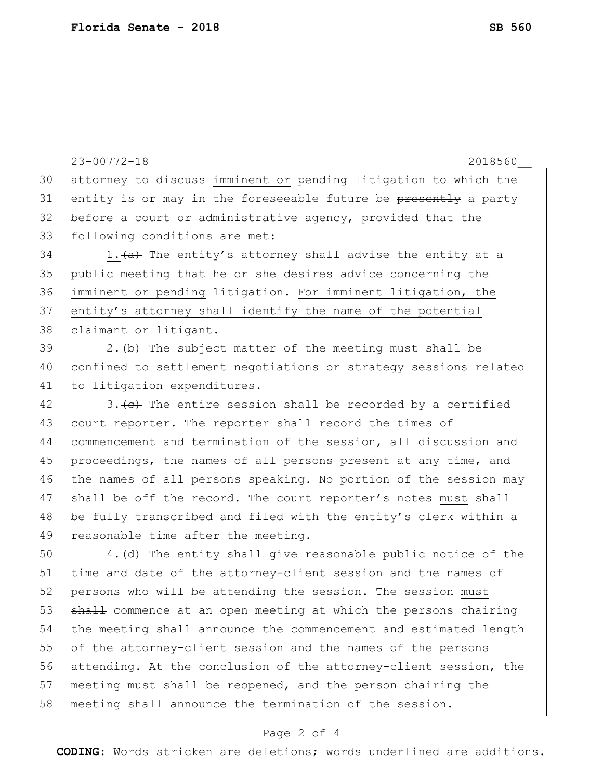30 attorney to discuss imminent or pending litigation to which the 31 entity is or may in the foreseeable future be presently a party 32 before a court or administrative agency, provided that the 33 following conditions are met:  $34$  1. (a) The entity's attorney shall advise the entity at a 35 public meeting that he or she desires advice concerning the 36 imminent or pending litigation. For imminent litigation, the 37 entity's attorney shall identify the name of the potential 38 claimant or litigant. 39 2. (b) The subject matter of the meeting must shall be 40 confined to settlement negotiations or strategy sessions related 41 to litigation expenditures.  $42$  3. (c) The entire session shall be recorded by a certified 43 court reporter. The reporter shall record the times of 44 commencement and termination of the session, all discussion and 45 proceedings, the names of all persons present at any time, and 46 the names of all persons speaking. No portion of the session may  $47$  shall be off the record. The court reporter's notes must shall 48 be fully transcribed and filed with the entity's clerk within a 49 reasonable time after the meeting.  $50$  4. (d) The entity shall give reasonable public notice of the 51 time and date of the attorney-client session and the names of 52 persons who will be attending the session. The session must 53 shall commence at an open meeting at which the persons chairing 54 the meeting shall announce the commencement and estimated length 55 of the attorney-client session and the names of the persons 56 attending. At the conclusion of the attorney-client session, the 57 meeting must shall be reopened, and the person chairing the 58 meeting shall announce the termination of the session.

23-00772-18 2018560\_\_

## Page 2 of 4

**CODING**: Words stricken are deletions; words underlined are additions.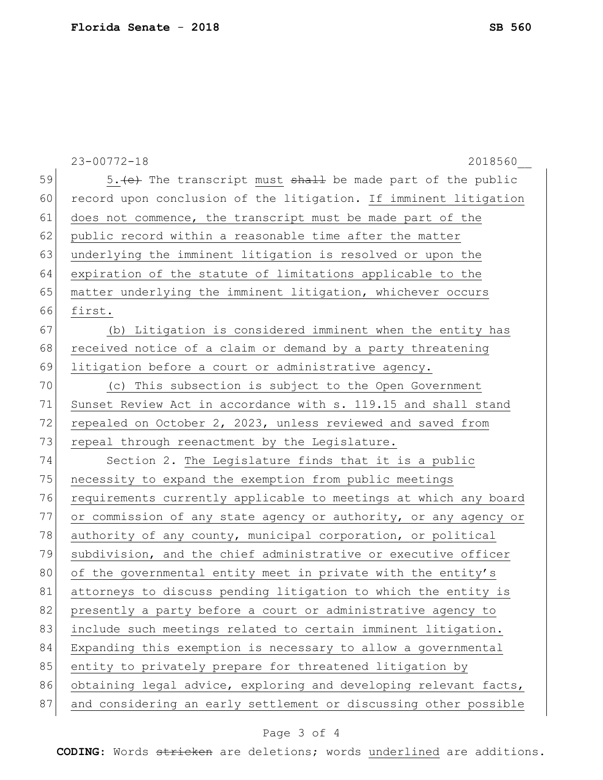|    | $23 - 00772 - 18$<br>2018560                                     |
|----|------------------------------------------------------------------|
| 59 | 5. (e) The transcript must shall be made part of the public      |
| 60 | record upon conclusion of the litigation. If imminent litigation |
| 61 | does not commence, the transcript must be made part of the       |
| 62 | public record within a reasonable time after the matter          |
| 63 | underlying the imminent litigation is resolved or upon the       |
| 64 | expiration of the statute of limitations applicable to the       |
| 65 | matter underlying the imminent litigation, whichever occurs      |
| 66 | first.                                                           |
| 67 | (b) Litigation is considered imminent when the entity has        |
| 68 | received notice of a claim or demand by a party threatening      |
| 69 | litigation before a court or administrative agency.              |
| 70 | (c) This subsection is subject to the Open Government            |
| 71 | Sunset Review Act in accordance with s. 119.15 and shall stand   |
| 72 | repealed on October 2, 2023, unless reviewed and saved from      |
| 73 | repeal through reenactment by the Legislature.                   |
| 74 | Section 2. The Legislature finds that it is a public             |
| 75 | necessity to expand the exemption from public meetings           |
| 76 | requirements currently applicable to meetings at which any board |
| 77 | or commission of any state agency or authority, or any agency or |
| 78 | authority of any county, municipal corporation, or political     |
| 79 | subdivision, and the chief administrative or executive officer   |
| 80 | of the governmental entity meet in private with the entity's     |
| 81 | attorneys to discuss pending litigation to which the entity is   |
| 82 | presently a party before a court or administrative agency to     |
| 83 | include such meetings related to certain imminent litigation.    |
| 84 | Expanding this exemption is necessary to allow a governmental    |
| 85 | entity to privately prepare for threatened litigation by         |
| 86 | obtaining legal advice, exploring and developing relevant facts, |
| 87 | and considering an early settlement or discussing other possible |

## Page 3 of 4

**CODING**: Words stricken are deletions; words underlined are additions.